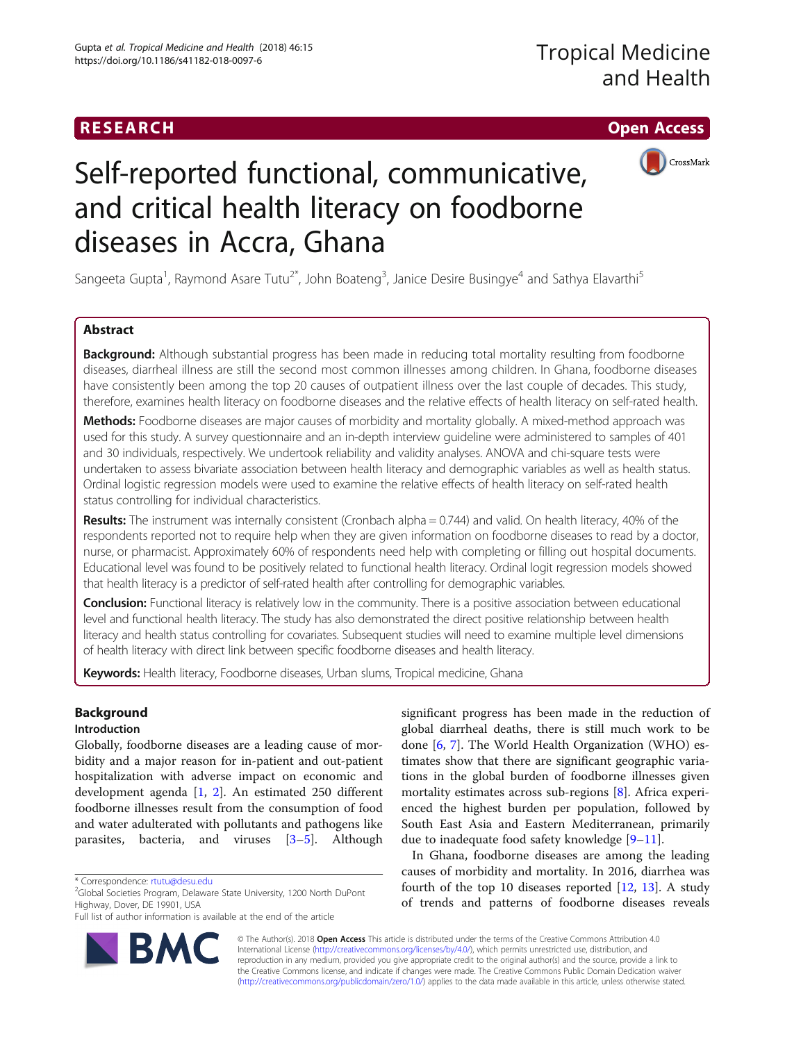# **RESEARCH CHE Open Access**



# Self-reported functional, communicative, and critical health literacy on foodborne diseases in Accra, Ghana

Sangeeta Gupta<sup>1</sup>, Raymond Asare Tutu<sup>2\*</sup>, John Boateng<sup>3</sup>, Janice Desire Busingye<sup>4</sup> and Sathya Elavarthi<sup>5</sup>

# Abstract

Background: Although substantial progress has been made in reducing total mortality resulting from foodborne diseases, diarrheal illness are still the second most common illnesses among children. In Ghana, foodborne diseases have consistently been among the top 20 causes of outpatient illness over the last couple of decades. This study, therefore, examines health literacy on foodborne diseases and the relative effects of health literacy on self-rated health.

Methods: Foodborne diseases are major causes of morbidity and mortality globally. A mixed-method approach was used for this study. A survey questionnaire and an in-depth interview guideline were administered to samples of 401 and 30 individuals, respectively. We undertook reliability and validity analyses. ANOVA and chi-square tests were undertaken to assess bivariate association between health literacy and demographic variables as well as health status. Ordinal logistic regression models were used to examine the relative effects of health literacy on self-rated health status controlling for individual characteristics.

Results: The instrument was internally consistent (Cronbach alpha = 0.744) and valid. On health literacy, 40% of the respondents reported not to require help when they are given information on foodborne diseases to read by a doctor, nurse, or pharmacist. Approximately 60% of respondents need help with completing or filling out hospital documents. Educational level was found to be positively related to functional health literacy. Ordinal logit regression models showed that health literacy is a predictor of self-rated health after controlling for demographic variables.

Conclusion: Functional literacy is relatively low in the community. There is a positive association between educational level and functional health literacy. The study has also demonstrated the direct positive relationship between health literacy and health status controlling for covariates. Subsequent studies will need to examine multiple level dimensions of health literacy with direct link between specific foodborne diseases and health literacy.

Keywords: Health literacy, Foodborne diseases, Urban slums, Tropical medicine, Ghana

# Background

# Introduction

Globally, foodborne diseases are a leading cause of morbidity and a major reason for in-patient and out-patient hospitalization with adverse impact on economic and development agenda [[1,](#page-8-0) [2](#page-8-0)]. An estimated 250 different foodborne illnesses result from the consumption of food and water adulterated with pollutants and pathogens like parasites, bacteria, and viruses [[3](#page-8-0)–[5\]](#page-8-0). Although

Full list of author information is available at the end of the article



significant progress has been made in the reduction of global diarrheal deaths, there is still much work to be done [\[6](#page-8-0), [7\]](#page-8-0). The World Health Organization (WHO) estimates show that there are significant geographic variations in the global burden of foodborne illnesses given mortality estimates across sub-regions [\[8](#page-8-0)]. Africa experienced the highest burden per population, followed by South East Asia and Eastern Mediterranean, primarily due to inadequate food safety knowledge [\[9](#page-8-0)–[11\]](#page-8-0).

In Ghana, foodborne diseases are among the leading causes of morbidity and mortality. In 2016, diarrhea was fourth of the top 10 diseases reported [\[12](#page-8-0), [13\]](#page-8-0). A study of trends and patterns of foodborne diseases reveals

© The Author(s). 2018 Open Access This article is distributed under the terms of the Creative Commons Attribution 4.0 International License [\(http://creativecommons.org/licenses/by/4.0/](http://creativecommons.org/licenses/by/4.0/)), which permits unrestricted use, distribution, and reproduction in any medium, provided you give appropriate credit to the original author(s) and the source, provide a link to the Creative Commons license, and indicate if changes were made. The Creative Commons Public Domain Dedication waiver [\(http://creativecommons.org/publicdomain/zero/1.0/](http://creativecommons.org/publicdomain/zero/1.0/)) applies to the data made available in this article, unless otherwise stated.

<sup>\*</sup> Correspondence: [rtutu@desu.edu](mailto:rtutu@desu.edu) <sup>2</sup>

<sup>&</sup>lt;sup>2</sup>Global Societies Program, Delaware State University, 1200 North DuPont Highway, Dover, DE 19901, USA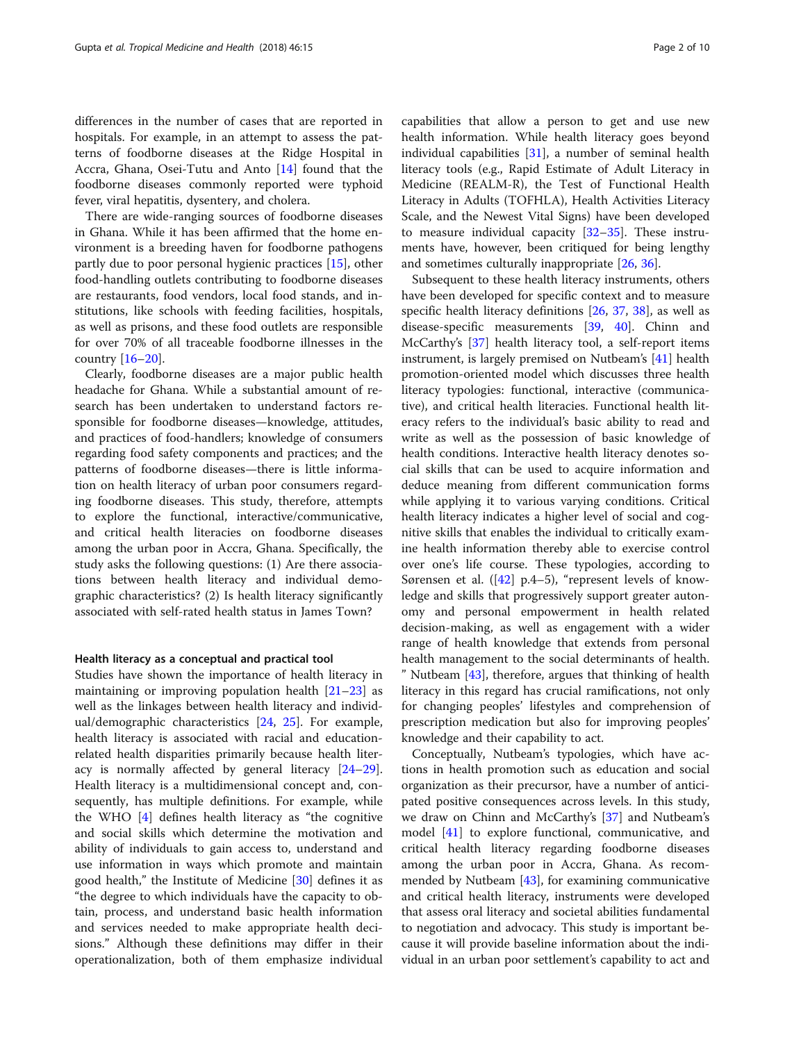differences in the number of cases that are reported in hospitals. For example, in an attempt to assess the patterns of foodborne diseases at the Ridge Hospital in Accra, Ghana, Osei-Tutu and Anto [[14\]](#page-8-0) found that the foodborne diseases commonly reported were typhoid fever, viral hepatitis, dysentery, and cholera.

There are wide-ranging sources of foodborne diseases in Ghana. While it has been affirmed that the home environment is a breeding haven for foodborne pathogens partly due to poor personal hygienic practices [[15\]](#page-9-0), other food-handling outlets contributing to foodborne diseases are restaurants, food vendors, local food stands, and institutions, like schools with feeding facilities, hospitals, as well as prisons, and these food outlets are responsible for over 70% of all traceable foodborne illnesses in the country [\[16](#page-9-0)–[20\]](#page-9-0).

Clearly, foodborne diseases are a major public health headache for Ghana. While a substantial amount of research has been undertaken to understand factors responsible for foodborne diseases—knowledge, attitudes, and practices of food-handlers; knowledge of consumers regarding food safety components and practices; and the patterns of foodborne diseases—there is little information on health literacy of urban poor consumers regarding foodborne diseases. This study, therefore, attempts to explore the functional, interactive/communicative, and critical health literacies on foodborne diseases among the urban poor in Accra, Ghana. Specifically, the study asks the following questions: (1) Are there associations between health literacy and individual demographic characteristics? (2) Is health literacy significantly associated with self-rated health status in James Town?

#### Health literacy as a conceptual and practical tool

Studies have shown the importance of health literacy in maintaining or improving population health  $[21-23]$  $[21-23]$  $[21-23]$  as well as the linkages between health literacy and individual/demographic characteristics [[24](#page-9-0), [25\]](#page-9-0). For example, health literacy is associated with racial and educationrelated health disparities primarily because health literacy is normally affected by general literacy [[24](#page-9-0)–[29](#page-9-0)]. Health literacy is a multidimensional concept and, consequently, has multiple definitions. For example, while the WHO [[4\]](#page-8-0) defines health literacy as "the cognitive and social skills which determine the motivation and ability of individuals to gain access to, understand and use information in ways which promote and maintain good health," the Institute of Medicine [[30](#page-9-0)] defines it as "the degree to which individuals have the capacity to obtain, process, and understand basic health information and services needed to make appropriate health decisions." Although these definitions may differ in their operationalization, both of them emphasize individual

capabilities that allow a person to get and use new health information. While health literacy goes beyond individual capabilities [[31](#page-9-0)], a number of seminal health literacy tools (e.g., Rapid Estimate of Adult Literacy in Medicine (REALM-R), the Test of Functional Health Literacy in Adults (TOFHLA), Health Activities Literacy Scale, and the Newest Vital Signs) have been developed to measure individual capacity [\[32](#page-9-0)–[35\]](#page-9-0). These instruments have, however, been critiqued for being lengthy and sometimes culturally inappropriate [[26](#page-9-0), [36](#page-9-0)].

Subsequent to these health literacy instruments, others have been developed for specific context and to measure specific health literacy definitions [[26](#page-9-0), [37,](#page-9-0) [38](#page-9-0)], as well as disease-specific measurements [\[39](#page-9-0), [40](#page-9-0)]. Chinn and McCarthy's [\[37](#page-9-0)] health literacy tool, a self-report items instrument, is largely premised on Nutbeam's [\[41](#page-9-0)] health promotion-oriented model which discusses three health literacy typologies: functional, interactive (communicative), and critical health literacies. Functional health literacy refers to the individual's basic ability to read and write as well as the possession of basic knowledge of health conditions. Interactive health literacy denotes social skills that can be used to acquire information and deduce meaning from different communication forms while applying it to various varying conditions. Critical health literacy indicates a higher level of social and cognitive skills that enables the individual to critically examine health information thereby able to exercise control over one's life course. These typologies, according to Sørensen et al.  $(42)$  p.4–5), "represent levels of knowledge and skills that progressively support greater autonomy and personal empowerment in health related decision-making, as well as engagement with a wider range of health knowledge that extends from personal health management to the social determinants of health. " Nutbeam [[43](#page-9-0)], therefore, argues that thinking of health literacy in this regard has crucial ramifications, not only for changing peoples' lifestyles and comprehension of prescription medication but also for improving peoples' knowledge and their capability to act.

Conceptually, Nutbeam's typologies, which have actions in health promotion such as education and social organization as their precursor, have a number of anticipated positive consequences across levels. In this study, we draw on Chinn and McCarthy's [[37\]](#page-9-0) and Nutbeam's model [\[41](#page-9-0)] to explore functional, communicative, and critical health literacy regarding foodborne diseases among the urban poor in Accra, Ghana. As recommended by Nutbeam [\[43](#page-9-0)], for examining communicative and critical health literacy, instruments were developed that assess oral literacy and societal abilities fundamental to negotiation and advocacy. This study is important because it will provide baseline information about the individual in an urban poor settlement's capability to act and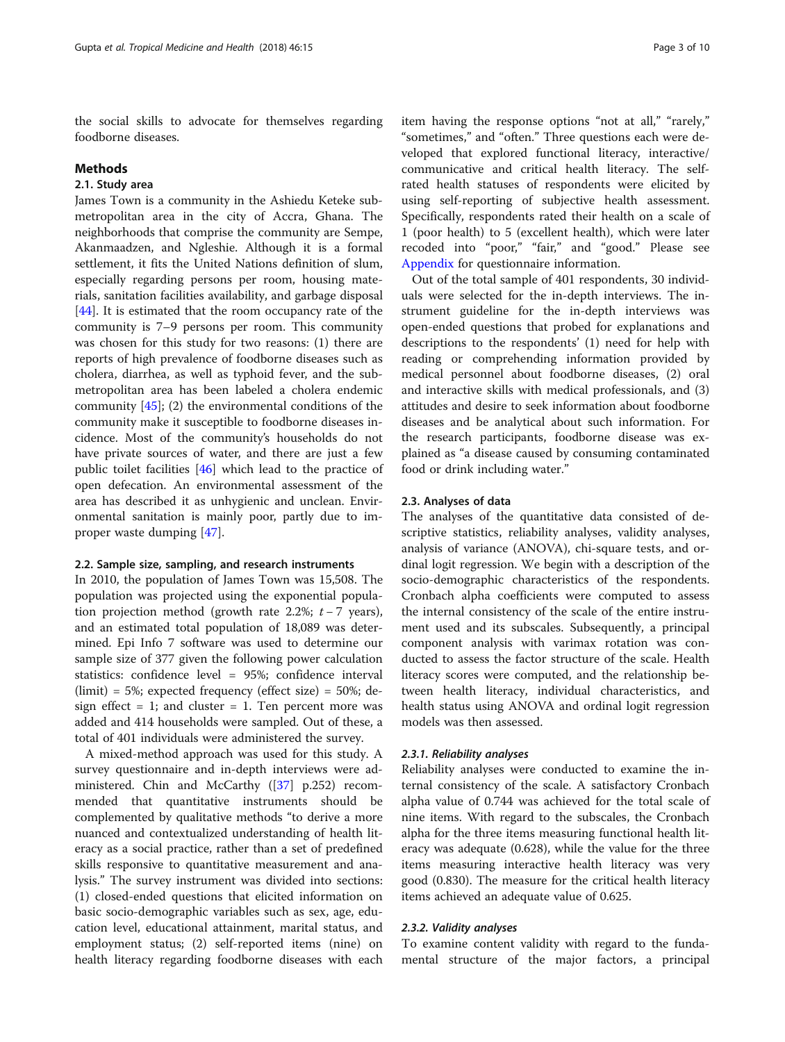the social skills to advocate for themselves regarding foodborne diseases.

# **Methods**

# 2.1. Study area

James Town is a community in the Ashiedu Keteke submetropolitan area in the city of Accra, Ghana. The neighborhoods that comprise the community are Sempe, Akanmaadzen, and Ngleshie. Although it is a formal settlement, it fits the United Nations definition of slum, especially regarding persons per room, housing materials, sanitation facilities availability, and garbage disposal  $[44]$  $[44]$ . It is estimated that the room occupancy rate of the community is 7–9 persons per room. This community was chosen for this study for two reasons: (1) there are reports of high prevalence of foodborne diseases such as cholera, diarrhea, as well as typhoid fever, and the submetropolitan area has been labeled a cholera endemic community  $[45]$  $[45]$ ; (2) the environmental conditions of the community make it susceptible to foodborne diseases incidence. Most of the community's households do not have private sources of water, and there are just a few public toilet facilities [\[46](#page-9-0)] which lead to the practice of open defecation. An environmental assessment of the area has described it as unhygienic and unclean. Environmental sanitation is mainly poor, partly due to improper waste dumping [\[47](#page-9-0)].

## 2.2. Sample size, sampling, and research instruments

In 2010, the population of James Town was 15,508. The population was projected using the exponential population projection method (growth rate 2.2%;  $t - 7$  years), and an estimated total population of 18,089 was determined. Epi Info 7 software was used to determine our sample size of 377 given the following power calculation statistics: confidence level = 95%; confidence interval  $(limit) = 5\%$ ; expected frequency (effect size) = 50%; design effect = 1; and cluster = 1. Ten percent more was added and 414 households were sampled. Out of these, a total of 401 individuals were administered the survey.

A mixed-method approach was used for this study. A survey questionnaire and in-depth interviews were administered. Chin and McCarthy ([\[37\]](#page-9-0) p.252) recommended that quantitative instruments should be complemented by qualitative methods "to derive a more nuanced and contextualized understanding of health literacy as a social practice, rather than a set of predefined skills responsive to quantitative measurement and analysis." The survey instrument was divided into sections: (1) closed-ended questions that elicited information on basic socio-demographic variables such as sex, age, education level, educational attainment, marital status, and employment status; (2) self-reported items (nine) on health literacy regarding foodborne diseases with each

item having the response options "not at all," "rarely," "sometimes," and "often." Three questions each were developed that explored functional literacy, interactive/ communicative and critical health literacy. The selfrated health statuses of respondents were elicited by using self-reporting of subjective health assessment. Specifically, respondents rated their health on a scale of 1 (poor health) to 5 (excellent health), which were later recoded into "poor," "fair," and "good." Please see [Appendix](#page-7-0) for questionnaire information.

Out of the total sample of 401 respondents, 30 individuals were selected for the in-depth interviews. The instrument guideline for the in-depth interviews was open-ended questions that probed for explanations and descriptions to the respondents' (1) need for help with reading or comprehending information provided by medical personnel about foodborne diseases, (2) oral and interactive skills with medical professionals, and (3) attitudes and desire to seek information about foodborne diseases and be analytical about such information. For the research participants, foodborne disease was explained as "a disease caused by consuming contaminated food or drink including water."

## 2.3. Analyses of data

The analyses of the quantitative data consisted of descriptive statistics, reliability analyses, validity analyses, analysis of variance (ANOVA), chi-square tests, and ordinal logit regression. We begin with a description of the socio-demographic characteristics of the respondents. Cronbach alpha coefficients were computed to assess the internal consistency of the scale of the entire instrument used and its subscales. Subsequently, a principal component analysis with varimax rotation was conducted to assess the factor structure of the scale. Health literacy scores were computed, and the relationship between health literacy, individual characteristics, and health status using ANOVA and ordinal logit regression models was then assessed.

# 2.3.1. Reliability analyses

Reliability analyses were conducted to examine the internal consistency of the scale. A satisfactory Cronbach alpha value of 0.744 was achieved for the total scale of nine items. With regard to the subscales, the Cronbach alpha for the three items measuring functional health literacy was adequate (0.628), while the value for the three items measuring interactive health literacy was very good (0.830). The measure for the critical health literacy items achieved an adequate value of 0.625.

#### 2.3.2. Validity analyses

To examine content validity with regard to the fundamental structure of the major factors, a principal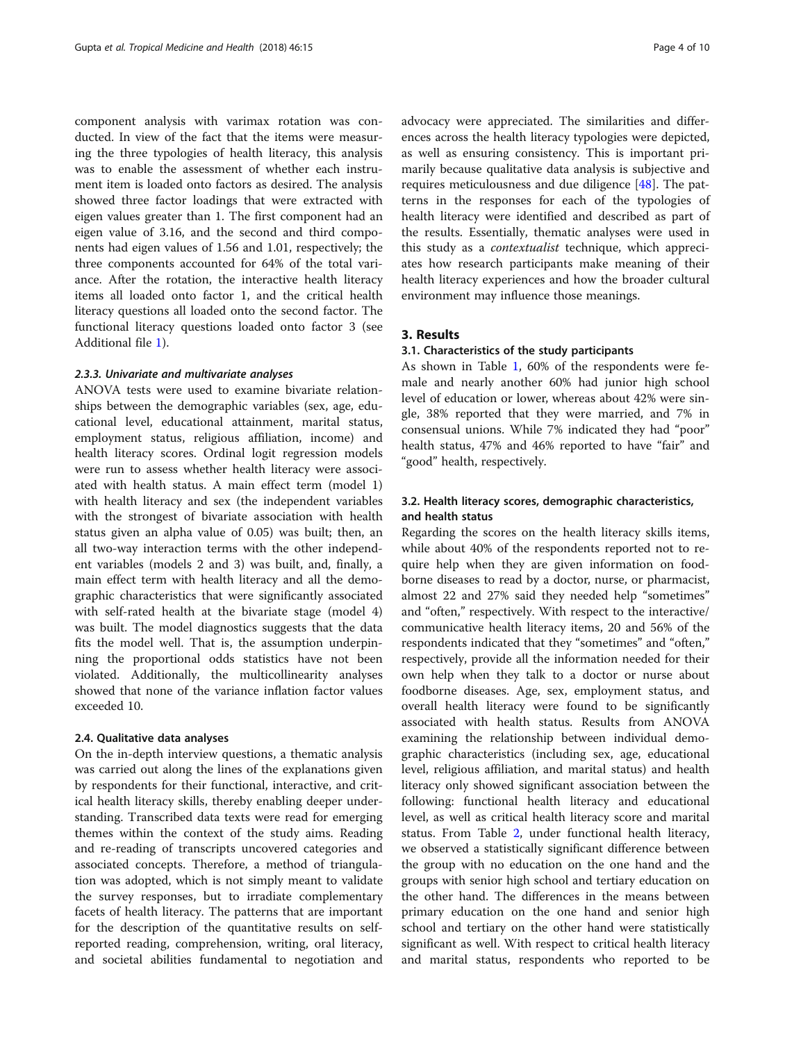component analysis with varimax rotation was conducted. In view of the fact that the items were measuring the three typologies of health literacy, this analysis was to enable the assessment of whether each instrument item is loaded onto factors as desired. The analysis showed three factor loadings that were extracted with eigen values greater than 1. The first component had an eigen value of 3.16, and the second and third components had eigen values of 1.56 and 1.01, respectively; the three components accounted for 64% of the total variance. After the rotation, the interactive health literacy items all loaded onto factor 1, and the critical health literacy questions all loaded onto the second factor. The functional literacy questions loaded onto factor 3 (see Additional file [1](#page-8-0)).

#### 2.3.3. Univariate and multivariate analyses

ANOVA tests were used to examine bivariate relationships between the demographic variables (sex, age, educational level, educational attainment, marital status, employment status, religious affiliation, income) and health literacy scores. Ordinal logit regression models were run to assess whether health literacy were associated with health status. A main effect term (model 1) with health literacy and sex (the independent variables with the strongest of bivariate association with health status given an alpha value of 0.05) was built; then, an all two-way interaction terms with the other independent variables (models 2 and 3) was built, and, finally, a main effect term with health literacy and all the demographic characteristics that were significantly associated with self-rated health at the bivariate stage (model 4) was built. The model diagnostics suggests that the data fits the model well. That is, the assumption underpinning the proportional odds statistics have not been violated. Additionally, the multicollinearity analyses showed that none of the variance inflation factor values exceeded 10.

## 2.4. Qualitative data analyses

On the in-depth interview questions, a thematic analysis was carried out along the lines of the explanations given by respondents for their functional, interactive, and critical health literacy skills, thereby enabling deeper understanding. Transcribed data texts were read for emerging themes within the context of the study aims. Reading and re-reading of transcripts uncovered categories and associated concepts. Therefore, a method of triangulation was adopted, which is not simply meant to validate the survey responses, but to irradiate complementary facets of health literacy. The patterns that are important for the description of the quantitative results on selfreported reading, comprehension, writing, oral literacy, and societal abilities fundamental to negotiation and advocacy were appreciated. The similarities and differences across the health literacy typologies were depicted, as well as ensuring consistency. This is important primarily because qualitative data analysis is subjective and requires meticulousness and due diligence [[48\]](#page-9-0). The patterns in the responses for each of the typologies of health literacy were identified and described as part of the results. Essentially, thematic analyses were used in this study as a *contextualist* technique, which appreciates how research participants make meaning of their health literacy experiences and how the broader cultural environment may influence those meanings.

# 3. Results

# 3.1. Characteristics of the study participants

As shown in Table [1,](#page-4-0) 60% of the respondents were female and nearly another 60% had junior high school level of education or lower, whereas about 42% were single, 38% reported that they were married, and 7% in consensual unions. While 7% indicated they had "poor" health status, 47% and 46% reported to have "fair" and "good" health, respectively.

# 3.2. Health literacy scores, demographic characteristics, and health status

Regarding the scores on the health literacy skills items, while about 40% of the respondents reported not to require help when they are given information on foodborne diseases to read by a doctor, nurse, or pharmacist, almost 22 and 27% said they needed help "sometimes" and "often," respectively. With respect to the interactive/ communicative health literacy items, 20 and 56% of the respondents indicated that they "sometimes" and "often," respectively, provide all the information needed for their own help when they talk to a doctor or nurse about foodborne diseases. Age, sex, employment status, and overall health literacy were found to be significantly associated with health status. Results from ANOVA examining the relationship between individual demographic characteristics (including sex, age, educational level, religious affiliation, and marital status) and health literacy only showed significant association between the following: functional health literacy and educational level, as well as critical health literacy score and marital status. From Table [2](#page-5-0), under functional health literacy, we observed a statistically significant difference between the group with no education on the one hand and the groups with senior high school and tertiary education on the other hand. The differences in the means between primary education on the one hand and senior high school and tertiary on the other hand were statistically significant as well. With respect to critical health literacy and marital status, respondents who reported to be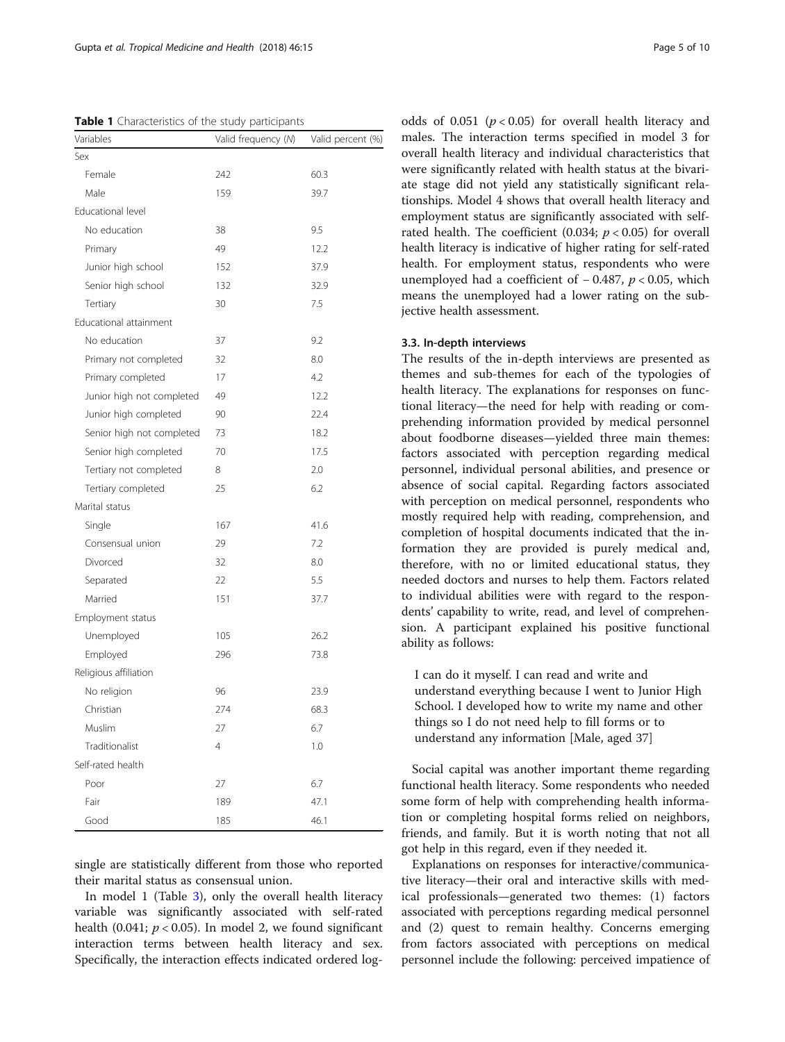<span id="page-4-0"></span>Table 1 Characteristics of the study participants

| Variables                 | Valid frequency (N) | Valid percent (%) |
|---------------------------|---------------------|-------------------|
| Sex                       |                     |                   |
| Female                    | 242                 | 60.3              |
| Male                      | 159                 | 39.7              |
| Educational level         |                     |                   |
| No education              | 38                  | 9.5               |
| Primary                   | 49                  | 12.2              |
| Junior high school        | 152                 | 37.9              |
| Senior high school        | 132                 | 32.9              |
| Tertiary                  | 30                  | 7.5               |
| Educational attainment    |                     |                   |
| No education              | 37                  | 9.2               |
| Primary not completed     | 32                  | 8.0               |
| Primary completed         | 17                  | 4.2               |
| Junior high not completed | 49                  | 12.2              |
| Junior high completed     | 90                  | 22.4              |
| Senior high not completed | 73                  | 18.2              |
| Senior high completed     | 70                  | 17.5              |
| Tertiary not completed    | 8                   | 2.0               |
| Tertiary completed        | 25                  | 6.2               |
| Marital status            |                     |                   |
| Single                    | 167                 | 41.6              |
| Consensual union          | 29                  | 7.2               |
| Divorced                  | 32                  | 8.0               |
| Separated                 | 22                  | 5.5               |
| Married                   | 151                 | 37.7              |
| Employment status         |                     |                   |
| Unemployed                | 105                 | 26.2              |
| Employed                  | 296                 | 73.8              |
| Religious affiliation     |                     |                   |
| No religion               | 96                  | 23.9              |
| Christian                 | 274                 | 68.3              |
| Muslim                    | 27                  | 6.7               |
| Traditionalist            | 4                   | 1.0               |
| Self-rated health         |                     |                   |
| Poor                      | 27                  | 6.7               |
| Fair                      | 189                 | 47.1              |
| Good                      | 185                 | 46.1              |

single are statistically different from those who reported their marital status as consensual union.

In model 1 (Table [3](#page-5-0)), only the overall health literacy variable was significantly associated with self-rated health (0.041;  $p < 0.05$ ). In model 2, we found significant interaction terms between health literacy and sex. Specifically, the interaction effects indicated ordered logodds of 0.051 ( $p < 0.05$ ) for overall health literacy and males. The interaction terms specified in model 3 for overall health literacy and individual characteristics that were significantly related with health status at the bivariate stage did not yield any statistically significant relationships. Model 4 shows that overall health literacy and employment status are significantly associated with selfrated health. The coefficient  $(0.034; p < 0.05)$  for overall health literacy is indicative of higher rating for self-rated health. For employment status, respondents who were unemployed had a coefficient of − 0.487, p < 0.05, which means the unemployed had a lower rating on the subjective health assessment.

#### 3.3. In-depth interviews

The results of the in-depth interviews are presented as themes and sub-themes for each of the typologies of health literacy. The explanations for responses on functional literacy—the need for help with reading or comprehending information provided by medical personnel about foodborne diseases—yielded three main themes: factors associated with perception regarding medical personnel, individual personal abilities, and presence or absence of social capital. Regarding factors associated with perception on medical personnel, respondents who mostly required help with reading, comprehension, and completion of hospital documents indicated that the information they are provided is purely medical and, therefore, with no or limited educational status, they needed doctors and nurses to help them. Factors related to individual abilities were with regard to the respondents' capability to write, read, and level of comprehension. A participant explained his positive functional ability as follows:

I can do it myself. I can read and write and understand everything because I went to Junior High School. I developed how to write my name and other things so I do not need help to fill forms or to understand any information [Male, aged 37]

Social capital was another important theme regarding functional health literacy. Some respondents who needed some form of help with comprehending health information or completing hospital forms relied on neighbors, friends, and family. But it is worth noting that not all got help in this regard, even if they needed it.

Explanations on responses for interactive/communicative literacy—their oral and interactive skills with medical professionals—generated two themes: (1) factors associated with perceptions regarding medical personnel and (2) quest to remain healthy. Concerns emerging from factors associated with perceptions on medical personnel include the following: perceived impatience of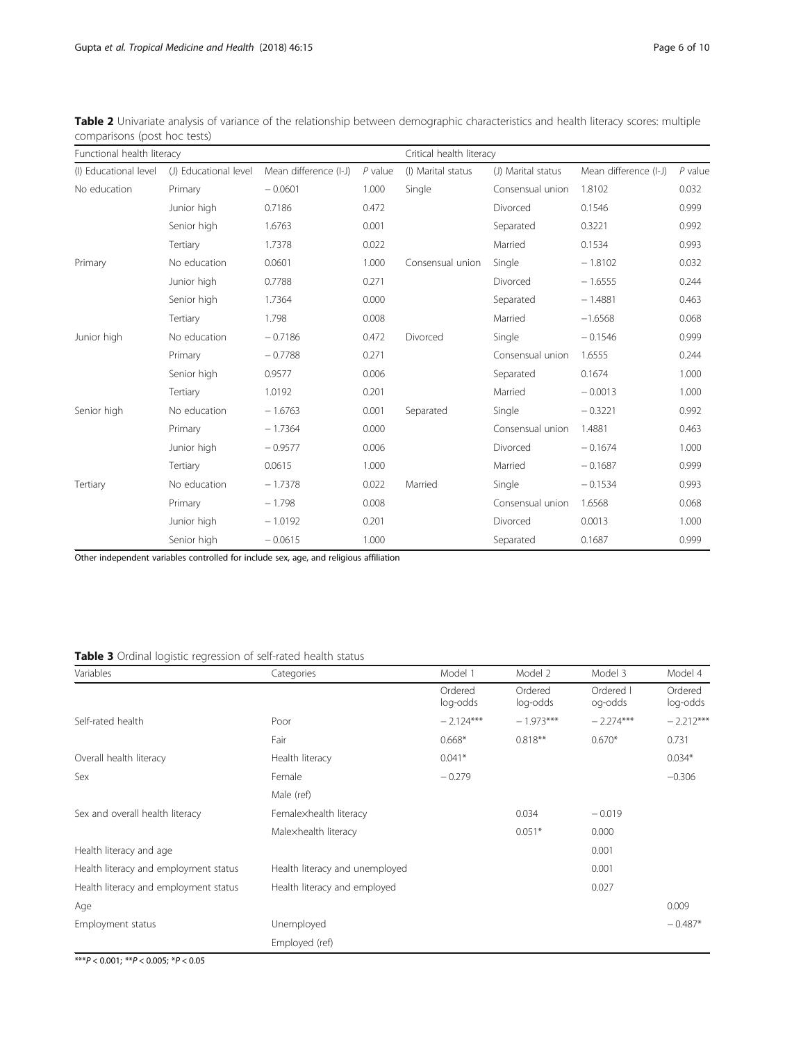| Functional health literacy |                       | Critical health literacy |           |                    |                    |                       |           |
|----------------------------|-----------------------|--------------------------|-----------|--------------------|--------------------|-----------------------|-----------|
| (I) Educational level      | (J) Educational level | Mean difference (I-J)    | $P$ value | (I) Marital status | (J) Marital status | Mean difference (I-J) | $P$ value |
| No education               | Primary               | $-0.0601$                | 1.000     | Single             | Consensual union   | 1.8102                | 0.032     |
|                            | Junior high           | 0.7186                   | 0.472     |                    | Divorced           | 0.1546                | 0.999     |
|                            | Senior high           | 1.6763                   | 0.001     |                    | Separated          | 0.3221                | 0.992     |
|                            | Tertiary              | 1.7378                   | 0.022     |                    | Married            | 0.1534                | 0.993     |
| Primary                    | No education          | 0.0601                   | 1.000     | Consensual union   | Single             | $-1.8102$             | 0.032     |
|                            | Junior high           | 0.7788                   | 0.271     |                    | Divorced           | $-1.6555$             | 0.244     |
|                            | Senior high           | 1.7364                   | 0.000     |                    | Separated          | $-1.4881$             | 0.463     |
|                            | Tertiary              | 1.798                    | 0.008     |                    | Married            | $-1.6568$             | 0.068     |
| Junior high                | No education          | $-0.7186$                | 0.472     | Divorced           | Single             | $-0.1546$             | 0.999     |
|                            | Primary               | $-0.7788$                | 0.271     |                    | Consensual union   | 1.6555                | 0.244     |
|                            | Senior high           | 0.9577                   | 0.006     |                    | Separated          | 0.1674                | 1.000     |
|                            | Tertiary              | 1.0192                   | 0.201     |                    | Married            | $-0.0013$             | 1.000     |
| Senior high                | No education          | $-1.6763$                | 0.001     | Separated          | Single             | $-0.3221$             | 0.992     |
|                            | Primary               | $-1.7364$                | 0.000     |                    | Consensual union   | 1.4881                | 0.463     |
|                            | Junior high           | $-0.9577$                | 0.006     |                    | Divorced           | $-0.1674$             | 1.000     |
|                            | Tertiary              | 0.0615                   | 1.000     |                    | Married            | $-0.1687$             | 0.999     |
| Tertiary                   | No education          | $-1.7378$                | 0.022     | Married            | Single             | $-0.1534$             | 0.993     |
|                            | Primary               | $-1.798$                 | 0.008     |                    | Consensual union   | 1.6568                | 0.068     |
|                            | Junior high           | $-1.0192$                | 0.201     |                    | Divorced           | 0.0013                | 1.000     |
|                            | Senior high           | $-0.0615$                | 1.000     |                    | Separated          | 0.1687                | 0.999     |

<span id="page-5-0"></span>

| Table 2 Univariate analysis of variance of the relationship between demographic characteristics and health literacy scores: multiple |  |
|--------------------------------------------------------------------------------------------------------------------------------------|--|
| comparisons (post hoc tests)                                                                                                         |  |

Other independent variables controlled for include sex, age, and religious affiliation

# Table 3 Ordinal logistic regression of self-rated health status

| Variables                             | Categories                              | Model 1             | Model 2             | Model 3              | Model 4             |
|---------------------------------------|-----------------------------------------|---------------------|---------------------|----------------------|---------------------|
|                                       |                                         | Ordered<br>log-odds | Ordered<br>log-odds | Ordered I<br>og-odds | Ordered<br>log-odds |
| Self-rated health                     | Poor                                    | $-2.124***$         | $-1.973***$         | $-2.274***$          | $-2.212***$         |
|                                       | Fair                                    | $0.668*$            | $0.818**$           | $0.670*$             | 0.731               |
| Overall health literacy               | Health literacy                         | $0.041*$            |                     |                      | $0.034*$            |
| Sex                                   | Female                                  | $-0.279$            |                     |                      | $-0.306$            |
|                                       | Male (ref)                              |                     |                     |                      |                     |
| Sex and overall health literacy       | Femalexhealth literacy                  |                     | 0.034               | $-0.019$             |                     |
|                                       | Malexhealth literacy                    |                     | $0.051*$            | 0.000                |                     |
| Health literacy and age               |                                         |                     |                     | 0.001                |                     |
| Health literacy and employment status | Health literacy and unemployed<br>0.001 |                     |                     |                      |                     |
| Health literacy and employment status | Health literacy and employed            |                     |                     | 0.027                |                     |
| Age                                   |                                         |                     |                     |                      | 0.009               |
| Employment status                     | Unemployed                              |                     |                     |                      | $-0.487*$           |
|                                       | Employed (ref)                          |                     |                     |                      |                     |

\*\*\* $P < 0.001$ ; \*\* $P < 0.005$ ; \* $P < 0.05$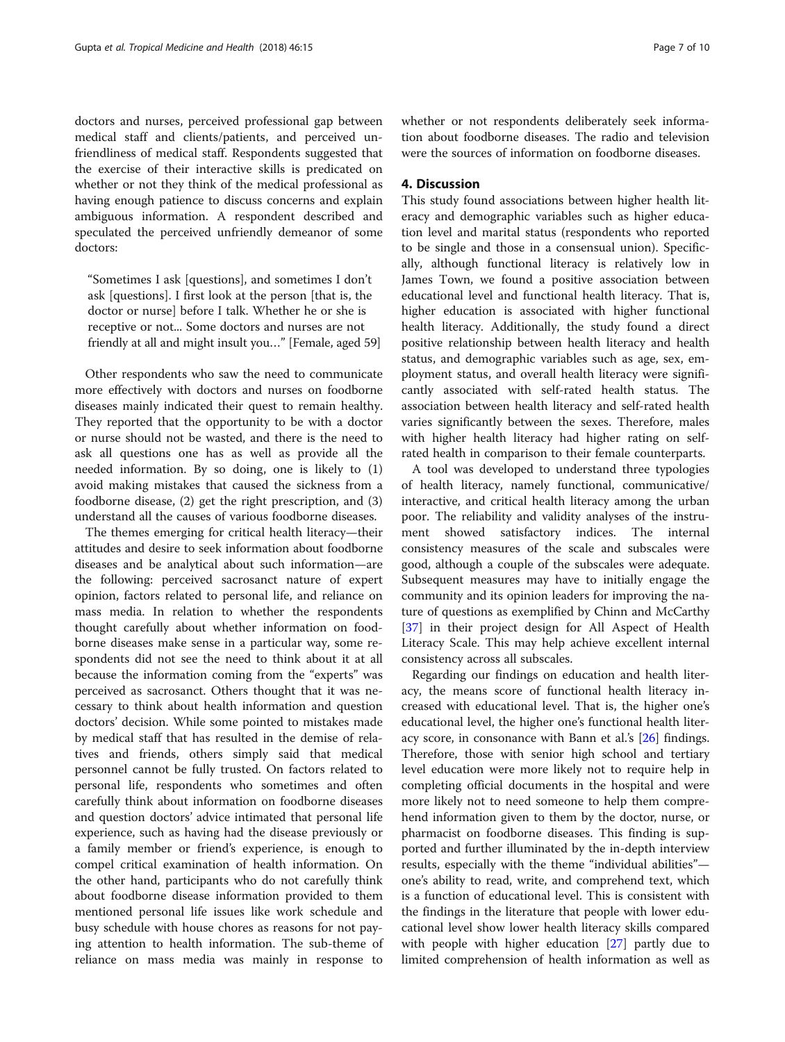doctors and nurses, perceived professional gap between medical staff and clients/patients, and perceived unfriendliness of medical staff. Respondents suggested that the exercise of their interactive skills is predicated on whether or not they think of the medical professional as having enough patience to discuss concerns and explain ambiguous information. A respondent described and speculated the perceived unfriendly demeanor of some doctors:

"Sometimes I ask [questions], and sometimes I don't ask [questions]. I first look at the person [that is, the doctor or nurse] before I talk. Whether he or she is receptive or not... Some doctors and nurses are not friendly at all and might insult you…" [Female, aged 59]

Other respondents who saw the need to communicate more effectively with doctors and nurses on foodborne diseases mainly indicated their quest to remain healthy. They reported that the opportunity to be with a doctor or nurse should not be wasted, and there is the need to ask all questions one has as well as provide all the needed information. By so doing, one is likely to (1) avoid making mistakes that caused the sickness from a foodborne disease, (2) get the right prescription, and (3) understand all the causes of various foodborne diseases.

The themes emerging for critical health literacy—their attitudes and desire to seek information about foodborne diseases and be analytical about such information—are the following: perceived sacrosanct nature of expert opinion, factors related to personal life, and reliance on mass media. In relation to whether the respondents thought carefully about whether information on foodborne diseases make sense in a particular way, some respondents did not see the need to think about it at all because the information coming from the "experts" was perceived as sacrosanct. Others thought that it was necessary to think about health information and question doctors' decision. While some pointed to mistakes made by medical staff that has resulted in the demise of relatives and friends, others simply said that medical personnel cannot be fully trusted. On factors related to personal life, respondents who sometimes and often carefully think about information on foodborne diseases and question doctors' advice intimated that personal life experience, such as having had the disease previously or a family member or friend's experience, is enough to compel critical examination of health information. On the other hand, participants who do not carefully think about foodborne disease information provided to them mentioned personal life issues like work schedule and busy schedule with house chores as reasons for not paying attention to health information. The sub-theme of reliance on mass media was mainly in response to whether or not respondents deliberately seek information about foodborne diseases. The radio and television were the sources of information on foodborne diseases.

# 4. Discussion

This study found associations between higher health literacy and demographic variables such as higher education level and marital status (respondents who reported to be single and those in a consensual union). Specifically, although functional literacy is relatively low in James Town, we found a positive association between educational level and functional health literacy. That is, higher education is associated with higher functional health literacy. Additionally, the study found a direct positive relationship between health literacy and health status, and demographic variables such as age, sex, employment status, and overall health literacy were significantly associated with self-rated health status. The association between health literacy and self-rated health varies significantly between the sexes. Therefore, males with higher health literacy had higher rating on selfrated health in comparison to their female counterparts.

A tool was developed to understand three typologies of health literacy, namely functional, communicative/ interactive, and critical health literacy among the urban poor. The reliability and validity analyses of the instrument showed satisfactory indices. The internal consistency measures of the scale and subscales were good, although a couple of the subscales were adequate. Subsequent measures may have to initially engage the community and its opinion leaders for improving the nature of questions as exemplified by Chinn and McCarthy [[37\]](#page-9-0) in their project design for All Aspect of Health Literacy Scale. This may help achieve excellent internal consistency across all subscales.

Regarding our findings on education and health literacy, the means score of functional health literacy increased with educational level. That is, the higher one's educational level, the higher one's functional health literacy score, in consonance with Bann et al.'s  $[26]$  $[26]$  $[26]$  findings. Therefore, those with senior high school and tertiary level education were more likely not to require help in completing official documents in the hospital and were more likely not to need someone to help them comprehend information given to them by the doctor, nurse, or pharmacist on foodborne diseases. This finding is supported and further illuminated by the in-depth interview results, especially with the theme "individual abilities" one's ability to read, write, and comprehend text, which is a function of educational level. This is consistent with the findings in the literature that people with lower educational level show lower health literacy skills compared with people with higher education [\[27\]](#page-9-0) partly due to limited comprehension of health information as well as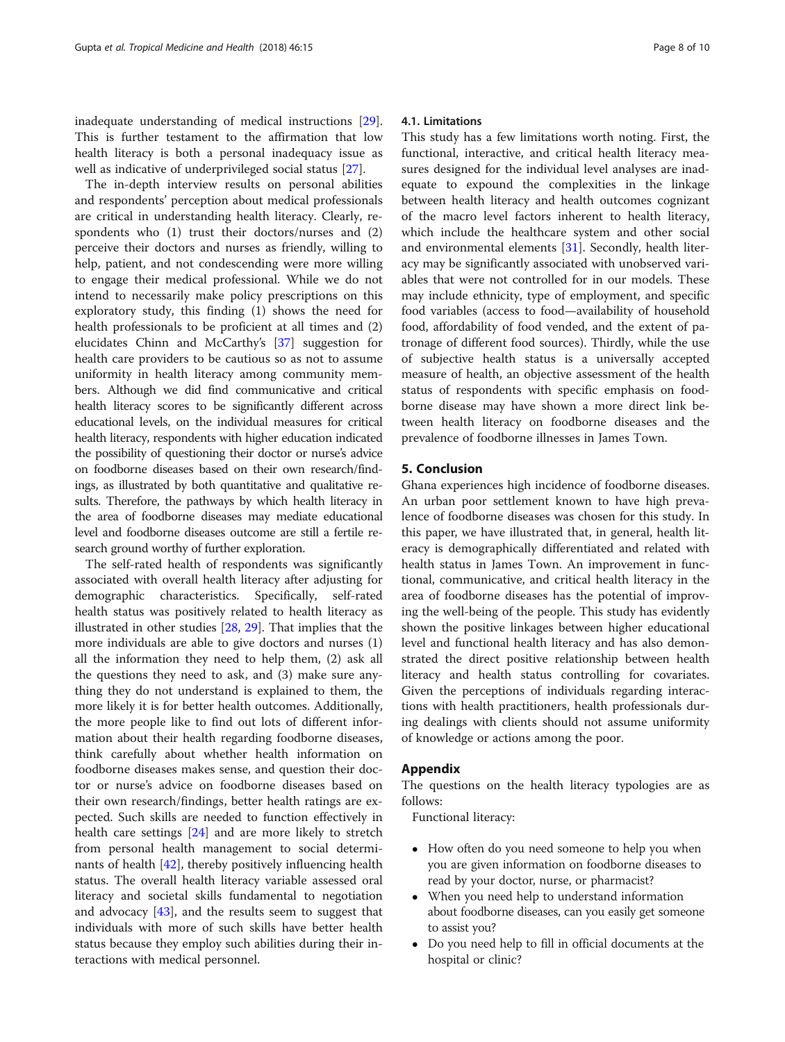<span id="page-7-0"></span>inadequate understanding of medical instructions [\[29](#page-9-0)]. This is further testament to the affirmation that low health literacy is both a personal inadequacy issue as well as indicative of underprivileged social status [\[27](#page-9-0)].

The in-depth interview results on personal abilities and respondents' perception about medical professionals are critical in understanding health literacy. Clearly, respondents who (1) trust their doctors/nurses and (2) perceive their doctors and nurses as friendly, willing to help, patient, and not condescending were more willing to engage their medical professional. While we do not intend to necessarily make policy prescriptions on this exploratory study, this finding (1) shows the need for health professionals to be proficient at all times and (2) elucidates Chinn and McCarthy's [[37\]](#page-9-0) suggestion for health care providers to be cautious so as not to assume uniformity in health literacy among community members. Although we did find communicative and critical health literacy scores to be significantly different across educational levels, on the individual measures for critical health literacy, respondents with higher education indicated the possibility of questioning their doctor or nurse's advice on foodborne diseases based on their own research/findings, as illustrated by both quantitative and qualitative results. Therefore, the pathways by which health literacy in the area of foodborne diseases may mediate educational level and foodborne diseases outcome are still a fertile research ground worthy of further exploration.

The self-rated health of respondents was significantly associated with overall health literacy after adjusting for demographic characteristics. Specifically, self-rated health status was positively related to health literacy as illustrated in other studies [[28,](#page-9-0) [29\]](#page-9-0). That implies that the more individuals are able to give doctors and nurses (1) all the information they need to help them, (2) ask all the questions they need to ask, and (3) make sure anything they do not understand is explained to them, the more likely it is for better health outcomes. Additionally, the more people like to find out lots of different information about their health regarding foodborne diseases, think carefully about whether health information on foodborne diseases makes sense, and question their doctor or nurse's advice on foodborne diseases based on their own research/findings, better health ratings are expected. Such skills are needed to function effectively in health care settings [[24](#page-9-0)] and are more likely to stretch from personal health management to social determinants of health [\[42](#page-9-0)], thereby positively influencing health status. The overall health literacy variable assessed oral literacy and societal skills fundamental to negotiation and advocacy [\[43](#page-9-0)], and the results seem to suggest that individuals with more of such skills have better health status because they employ such abilities during their interactions with medical personnel.

# 4.1. Limitations

This study has a few limitations worth noting. First, the functional, interactive, and critical health literacy measures designed for the individual level analyses are inadequate to expound the complexities in the linkage between health literacy and health outcomes cognizant of the macro level factors inherent to health literacy, which include the healthcare system and other social and environmental elements [\[31\]](#page-9-0). Secondly, health literacy may be significantly associated with unobserved variables that were not controlled for in our models. These may include ethnicity, type of employment, and specific food variables (access to food—availability of household food, affordability of food vended, and the extent of patronage of different food sources). Thirdly, while the use of subjective health status is a universally accepted measure of health, an objective assessment of the health status of respondents with specific emphasis on foodborne disease may have shown a more direct link between health literacy on foodborne diseases and the prevalence of foodborne illnesses in James Town.

## 5. Conclusion

Ghana experiences high incidence of foodborne diseases. An urban poor settlement known to have high prevalence of foodborne diseases was chosen for this study. In this paper, we have illustrated that, in general, health literacy is demographically differentiated and related with health status in James Town. An improvement in functional, communicative, and critical health literacy in the area of foodborne diseases has the potential of improving the well-being of the people. This study has evidently shown the positive linkages between higher educational level and functional health literacy and has also demonstrated the direct positive relationship between health literacy and health status controlling for covariates. Given the perceptions of individuals regarding interactions with health practitioners, health professionals during dealings with clients should not assume uniformity of knowledge or actions among the poor.

# Appendix

The questions on the health literacy typologies are as follows:

Functional literacy:

- How often do you need someone to help you when you are given information on foodborne diseases to read by your doctor, nurse, or pharmacist?
- When you need help to understand information about foodborne diseases, can you easily get someone to assist you?
- Do you need help to fill in official documents at the hospital or clinic?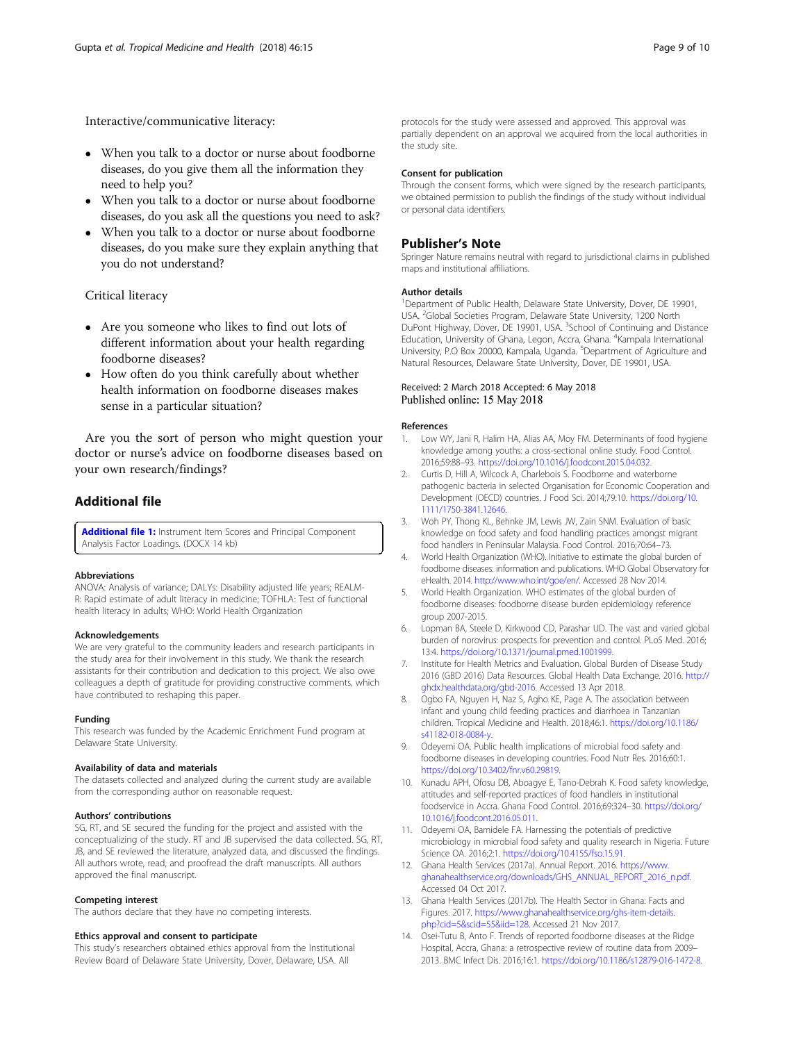<span id="page-8-0"></span>Interactive/communicative literacy:

- When you talk to a doctor or nurse about foodborne diseases, do you give them all the information they need to help you?
- When you talk to a doctor or nurse about foodborne diseases, do you ask all the questions you need to ask?
- When you talk to a doctor or nurse about foodborne diseases, do you make sure they explain anything that you do not understand?

# Critical literacy

- Are you someone who likes to find out lots of different information about your health regarding foodborne diseases?
- How often do you think carefully about whether health information on foodborne diseases makes sense in a particular situation?

Are you the sort of person who might question your doctor or nurse's advice on foodborne diseases based on your own research/findings?

# Additional file

[Additional file 1:](https://doi.org/10.1186/s41182-018-0097-6) Instrument Item Scores and Principal Component Analysis Factor Loadings. (DOCX 14 kb)

#### Abbreviations

ANOVA: Analysis of variance; DALYs: Disability adjusted life years; REALM-R: Rapid estimate of adult literacy in medicine; TOFHLA: Test of functional health literacy in adults; WHO: World Health Organization

#### Acknowledgements

We are very grateful to the community leaders and research participants in the study area for their involvement in this study. We thank the research assistants for their contribution and dedication to this project. We also owe colleagues a depth of gratitude for providing constructive comments, which have contributed to reshaping this paper.

#### Funding

This research was funded by the Academic Enrichment Fund program at Delaware State University.

# Availability of data and materials

The datasets collected and analyzed during the current study are available from the corresponding author on reasonable request.

#### Authors' contributions

SG, RT, and SE secured the funding for the project and assisted with the conceptualizing of the study. RT and JB supervised the data collected. SG, RT, JB, and SE reviewed the literature, analyzed data, and discussed the findings. All authors wrote, read, and proofread the draft manuscripts. All authors approved the final manuscript.

#### Competing interest

The authors declare that they have no competing interests.

#### Ethics approval and consent to participate

This study's researchers obtained ethics approval from the Institutional Review Board of Delaware State University, Dover, Delaware, USA. All

protocols for the study were assessed and approved. This approval was partially dependent on an approval we acquired from the local authorities in the study site.

#### Consent for publication

Through the consent forms, which were signed by the research participants, we obtained permission to publish the findings of the study without individual or personal data identifiers.

# Publisher's Note

Springer Nature remains neutral with regard to jurisdictional claims in published maps and institutional affiliations.

#### Author details

<sup>1</sup>Department of Public Health, Delaware State University, Dover, DE 19901, USA. <sup>2</sup>Global Societies Program, Delaware State University, 1200 North DuPont Highway, Dover, DE 19901, USA. <sup>3</sup>School of Continuing and Distance Education, University of Ghana, Legon, Accra, Ghana. <sup>4</sup>Kampala International University, P.O Box 20000, Kampala, Uganda. <sup>5</sup>Department of Agriculture and Natural Resources, Delaware State University, Dover, DE 19901, USA.

## Received: 2 March 2018 Accepted: 6 May 2018 Published online: 15 May 2018

#### References

- 1. Low WY, Jani R, Halim HA, Alias AA, Moy FM. Determinants of food hygiene knowledge among youths: a cross-sectional online study. Food Control. 2016;59:88–93. <https://doi.org/10.1016/j.foodcont.2015.04.032>.
- 2. Curtis D, Hill A, Wilcock A, Charlebois S. Foodborne and waterborne pathogenic bacteria in selected Organisation for Economic Cooperation and Development (OECD) countries. J Food Sci. 2014;79:10. [https://doi.org/10.](https://doi.org/10.1111/1750-3841.12646) [1111/1750-3841.12646](https://doi.org/10.1111/1750-3841.12646).
- 3. Woh PY, Thong KL, Behnke JM, Lewis JW, Zain SNM. Evaluation of basic knowledge on food safety and food handling practices amongst migrant food handlers in Peninsular Malaysia. Food Control. 2016;70:64–73.
- 4. World Health Organization (WHO). Initiative to estimate the global burden of foodborne diseases: information and publications. WHO Global Observatory for eHealth. 2014. <http://www.who.int/goe/en/>. Accessed 28 Nov 2014.
- 5. World Health Organization. WHO estimates of the global burden of foodborne diseases: foodborne disease burden epidemiology reference group 2007-2015.
- 6. Lopman BA, Steele D, Kirkwood CD, Parashar UD. The vast and varied global burden of norovirus: prospects for prevention and control. PLoS Med. 2016; 13:4. <https://doi.org/10.1371/journal.pmed.1001999>.
- 7. Institute for Health Metrics and Evaluation. Global Burden of Disease Study 2016 (GBD 2016) Data Resources. Global Health Data Exchange. 2016. [http://](http://ghdx.healthdata.org/gbd-2016) [ghdx.healthdata.org/gbd-2016](http://ghdx.healthdata.org/gbd-2016). Accessed 13 Apr 2018.
- 8. Ogbo FA, Nguyen H, Naz S, Agho KE, Page A. The association between infant and young child feeding practices and diarrhoea in Tanzanian children. Tropical Medicine and Health. 2018;46:1. [https://doi.org/10.1186/](https://doi.org/10.1186/s41182-018-0084-y) [s41182-018-0084-y.](https://doi.org/10.1186/s41182-018-0084-y)
- 9. Odeyemi OA. Public health implications of microbial food safety and foodborne diseases in developing countries. Food Nutr Res. 2016;60:1. <https://doi.org/10.3402/fnr.v60.29819>.
- 10. Kunadu APH, Ofosu DB, Aboagye E, Tano-Debrah K. Food safety knowledge, attitudes and self-reported practices of food handlers in institutional foodservice in Accra. Ghana Food Control. 2016;69:324–30. [https://doi.org/](https://doi.org/10.1016/j.foodcont.2016.05.011) [10.1016/j.foodcont.2016.05.011.](https://doi.org/10.1016/j.foodcont.2016.05.011)
- 11. Odeyemi OA, Bamidele FA. Harnessing the potentials of predictive microbiology in microbial food safety and quality research in Nigeria. Future Science OA. 2016;2:1. <https://doi.org/10.4155/fso.15.91>.
- 12. Ghana Health Services (2017a). Annual Report. 2016. [https://www.](https://www.ghanahealthservice.org/downloads/GHS_ANNUAL_REPORT_2016_n.pdf) [ghanahealthservice.org/downloads/GHS\\_ANNUAL\\_REPORT\\_2016\\_n.pdf](https://www.ghanahealthservice.org/downloads/GHS_ANNUAL_REPORT_2016_n.pdf). Accessed 04 Oct 2017.
- 13. Ghana Health Services (2017b). The Health Sector in Ghana: Facts and Figures. 2017. [https://www.ghanahealthservice.org/ghs-item-details.](https://www.ghanahealthservice.org/ghs-item-details.php?cid=5&scid=55&iid=128) [php?cid=5&scid=55&iid=128](https://www.ghanahealthservice.org/ghs-item-details.php?cid=5&scid=55&iid=128). Accessed 21 Nov 2017.
- 14. Osei-Tutu B, Anto F. Trends of reported foodborne diseases at the Ridge Hospital, Accra, Ghana: a retrospective review of routine data from 2009– 2013. BMC Infect Dis. 2016;16:1. [https://doi.org/10.1186/s12879-016-1472-8.](https://doi.org/10.1186/s12879-016-1472-8)